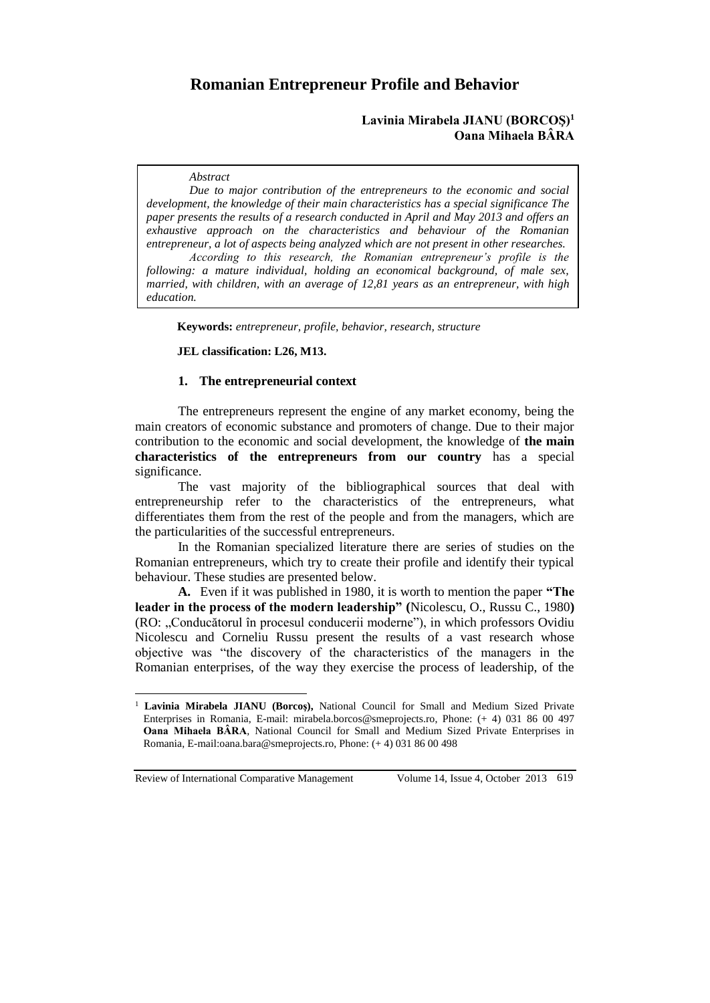# **Romanian Entrepreneur Profile and Behavior**

## **Lavinia Mirabela JIANU (BORCOŞ)<sup>1</sup> Oana Mihaela BÂRA**

#### *Abstract*

*Due to major contribution of the entrepreneurs to the economic and social development, the knowledge of their main characteristics has a special significance The paper presents the results of a research conducted in April and May 2013 and offers an exhaustive approach on the characteristics and behaviour of the Romanian entrepreneur, a lot of aspects being analyzed which are not present in other researches. According to this research, the Romanian entrepreneur's profile is the following: a mature individual, holding an economical background, of male sex, married, with children, with an average of 12,81 years as an entrepreneur, with high* 

*education.*

 $\overline{a}$ 

**Keywords:** *entrepreneur, profile, behavior, research, structure*

#### **JEL classification: L26, M13.**

#### **1. The entrepreneurial context**

The entrepreneurs represent the engine of any market economy, being the main creators of economic substance and promoters of change. Due to their major contribution to the economic and social development, the knowledge of **the main characteristics of the entrepreneurs from our country** has a special significance.

The vast majority of the bibliographical sources that deal with entrepreneurship refer to the characteristics of the entrepreneurs, what differentiates them from the rest of the people and from the managers, which are the particularities of the successful entrepreneurs.

In the Romanian specialized literature there are series of studies on the Romanian entrepreneurs, which try to create their profile and identify their typical behaviour. These studies are presented below.

**A.** Even if it was published in 1980, it is worth to mention the paper **"The leader in the process of the modern leadership" (**Nicolescu, O., Russu C., 1980**)** (RO: "Conducătorul în procesul conducerii moderne"), in which professors Ovidiu Nicolescu and Corneliu Russu present the results of a vast research whose objective was "the discovery of the characteristics of the managers in the Romanian enterprises, of the way they exercise the process of leadership, of the

<sup>1</sup> **Lavinia Mirabela JIANU (Borcoş),** National Council for Small and Medium Sized Private Enterprises in Romania, E-mail: mirabela.borcos@smeprojects.ro, Phone: (+ 4) 031 86 00 497 **Oana Mihaela BÂRA***,* National Council for Small and Medium Sized Private Enterprises in Romania, E-mail:oana.bara@smeprojects.ro, Phone: (+ 4) 031 86 00 498

Review of International Comparative Management Volume 14, Issue 4, October 2013 619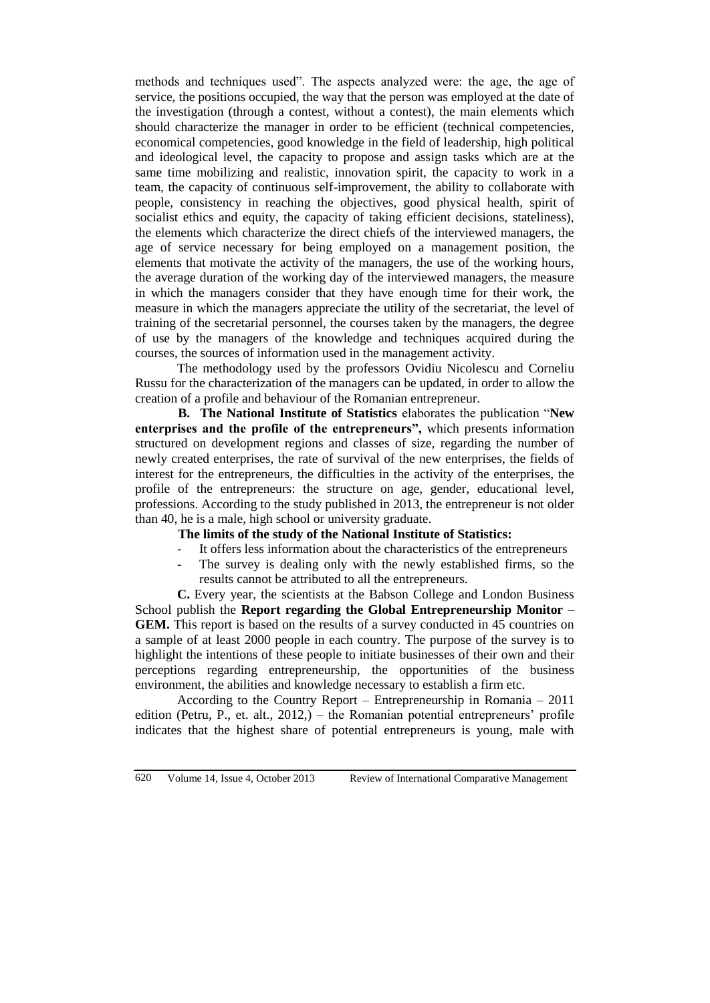methods and techniques used". The aspects analyzed were: the age, the age of service, the positions occupied, the way that the person was employed at the date of the investigation (through a contest, without a contest), the main elements which should characterize the manager in order to be efficient (technical competencies, economical competencies, good knowledge in the field of leadership, high political and ideological level, the capacity to propose and assign tasks which are at the same time mobilizing and realistic, innovation spirit, the capacity to work in a team, the capacity of continuous self-improvement, the ability to collaborate with people, consistency in reaching the objectives, good physical health, spirit of socialist ethics and equity, the capacity of taking efficient decisions, stateliness), the elements which characterize the direct chiefs of the interviewed managers, the age of service necessary for being employed on a management position, the elements that motivate the activity of the managers, the use of the working hours, the average duration of the working day of the interviewed managers, the measure in which the managers consider that they have enough time for their work, the measure in which the managers appreciate the utility of the secretariat, the level of training of the secretarial personnel, the courses taken by the managers, the degree of use by the managers of the knowledge and techniques acquired during the courses, the sources of information used in the management activity.

The methodology used by the professors Ovidiu Nicolescu and Corneliu Russu for the characterization of the managers can be updated, in order to allow the creation of a profile and behaviour of the Romanian entrepreneur.

**B. The National Institute of Statistics** elaborates the publication "**New enterprises and the profile of the entrepreneurs",** which presents information structured on development regions and classes of size, regarding the number of newly created enterprises, the rate of survival of the new enterprises, the fields of interest for the entrepreneurs, the difficulties in the activity of the enterprises, the profile of the entrepreneurs: the structure on age, gender, educational level, professions. According to the study published in 2013, the entrepreneur is not older than 40, he is a male, high school or university graduate.

**The limits of the study of the National Institute of Statistics:**

- It offers less information about the characteristics of the entrepreneurs
- The survey is dealing only with the newly established firms, so the results cannot be attributed to all the entrepreneurs.

**C.** Every year, the scientists at the Babson College and London Business School publish the **Report regarding the Global Entrepreneurship Monitor – GEM.** This report is based on the results of a survey conducted in 45 countries on a sample of at least 2000 people in each country. The purpose of the survey is to highlight the intentions of these people to initiate businesses of their own and their perceptions regarding entrepreneurship, the opportunities of the business environment, the abilities and knowledge necessary to establish a firm etc.

According to the Country Report – Entrepreneurship in Romania – 2011 edition (Petru, P., et. alt., 2012,) – the Romanian potential entrepreneurs' profile indicates that the highest share of potential entrepreneurs is young, male with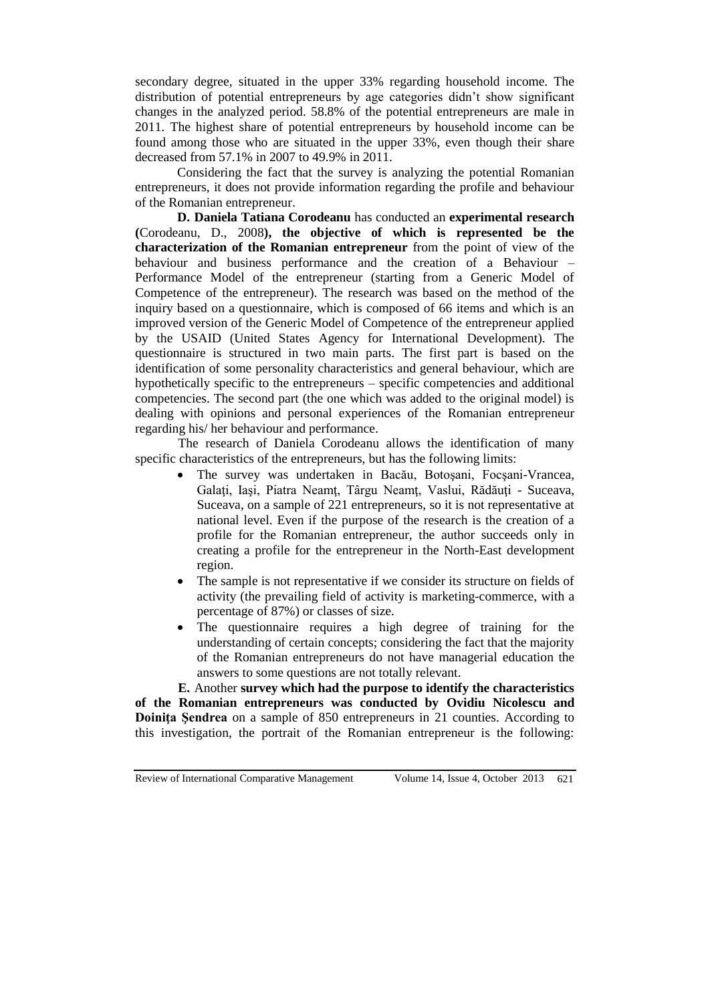secondary degree, situated in the upper 33% regarding household income. The distribution of potential entrepreneurs by age categories didn't show significant changes in the analyzed period. 58.8% of the potential entrepreneurs are male in 2011. The highest share of potential entrepreneurs by household income can be found among those who are situated in the upper 33%, even though their share decreased from 57.1% in 2007 to 49.9% in 2011.

Considering the fact that the survey is analyzing the potential Romanian entrepreneurs, it does not provide information regarding the profile and behaviour of the Romanian entrepreneur.

**D. Daniela Tatiana Corodeanu** has conducted an **experimental research (**Corodeanu, D., 2008**), the objective of which is represented be the characterization of the Romanian entrepreneur** from the point of view of the behaviour and business performance and the creation of a Behaviour – Performance Model of the entrepreneur (starting from a Generic Model of Competence of the entrepreneur). The research was based on the method of the inquiry based on a questionnaire, which is composed of 66 items and which is an improved version of the Generic Model of Competence of the entrepreneur applied by the USAID (United States Agency for International Development). The questionnaire is structured in two main parts. The first part is based on the identification of some personality characteristics and general behaviour, which are hypothetically specific to the entrepreneurs – specific competencies and additional competencies. The second part (the one which was added to the original model) is dealing with opinions and personal experiences of the Romanian entrepreneur regarding his/ her behaviour and performance.

The research of Daniela Corodeanu allows the identification of many specific characteristics of the entrepreneurs, but has the following limits:

- The survey was undertaken in Bacău, Botoşani, Focşani-Vrancea, Galați, Iași, Piatra Neamț, Târgu Neamț, Vaslui, Rădăuți - Suceava, Suceava, on a sample of 221 entrepreneurs, so it is not representative at national level. Even if the purpose of the research is the creation of a profile for the Romanian entrepreneur, the author succeeds only in creating a profile for the entrepreneur in the North-East development region.
- The sample is not representative if we consider its structure on fields of activity (the prevailing field of activity is marketing-commerce, with a percentage of 87%) or classes of size.
- The questionnaire requires a high degree of training for the understanding of certain concepts; considering the fact that the majority of the Romanian entrepreneurs do not have managerial education the answers to some questions are not totally relevant.

**E.** Another **survey which had the purpose to identify the characteristics of the Romanian entrepreneurs was conducted by Ovidiu Nicolescu and Doiniţa Şendrea** on a sample of 850 entrepreneurs in 21 counties. According to this investigation, the portrait of the Romanian entrepreneur is the following:

Review of International Comparative Management Volume 14, Issue 4, October 2013 621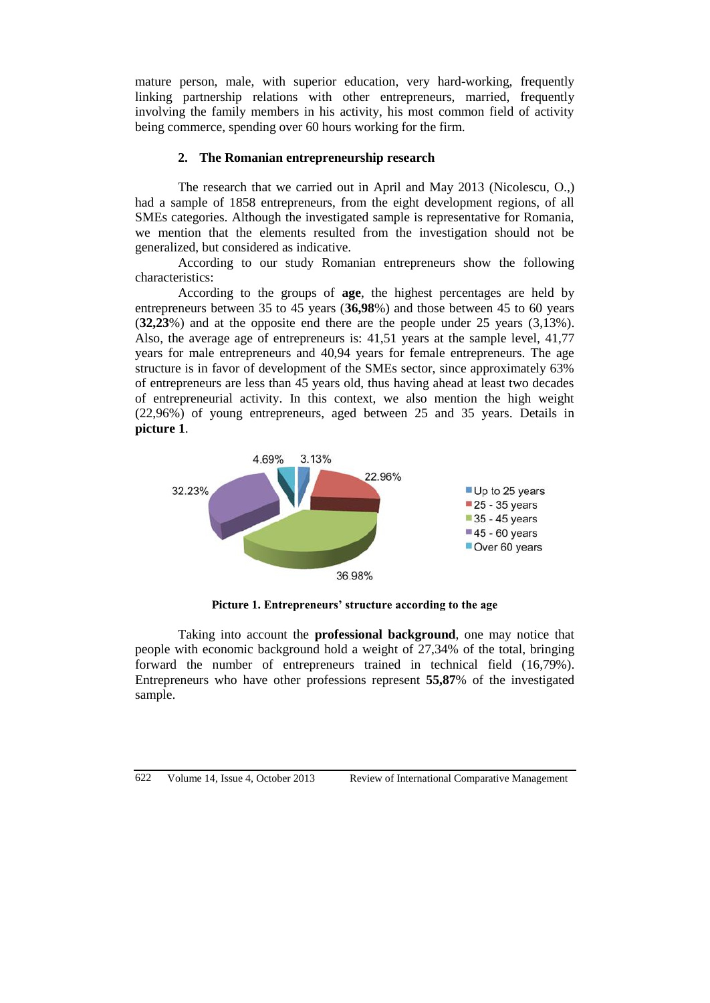mature person, male, with superior education, very hard-working, frequently linking partnership relations with other entrepreneurs, married, frequently involving the family members in his activity, his most common field of activity being commerce, spending over 60 hours working for the firm.

## **2. The Romanian entrepreneurship research**

The research that we carried out in April and May 2013 (Nicolescu, O.,) had a sample of 1858 entrepreneurs, from the eight development regions, of all SMEs categories. Although the investigated sample is representative for Romania, we mention that the elements resulted from the investigation should not be generalized, but considered as indicative.

According to our study Romanian entrepreneurs show the following characteristics:

According to the groups of **age**, the highest percentages are held by entrepreneurs between 35 to 45 years (**36,98**%) and those between 45 to 60 years (**32,23**%) and at the opposite end there are the people under 25 years (3,13%). Also, the average age of entrepreneurs is: 41,51 years at the sample level, 41,77 years for male entrepreneurs and 40,94 years for female entrepreneurs. The age structure is in favor of development of the SMEs sector, since approximately 63% of entrepreneurs are less than 45 years old, thus having ahead at least two decades of entrepreneurial activity. In this context, we also mention the high weight (22,96%) of young entrepreneurs, aged between 25 and 35 years. Details in **picture 1**.



**Picture 1. Entrepreneurs' structure according to the age**

Taking into account the **professional background**, one may notice that people with economic background hold a weight of 27,34% of the total, bringing forward the number of entrepreneurs trained in technical field (16,79%). Entrepreneurs who have other professions represent **55,87**% of the investigated sample.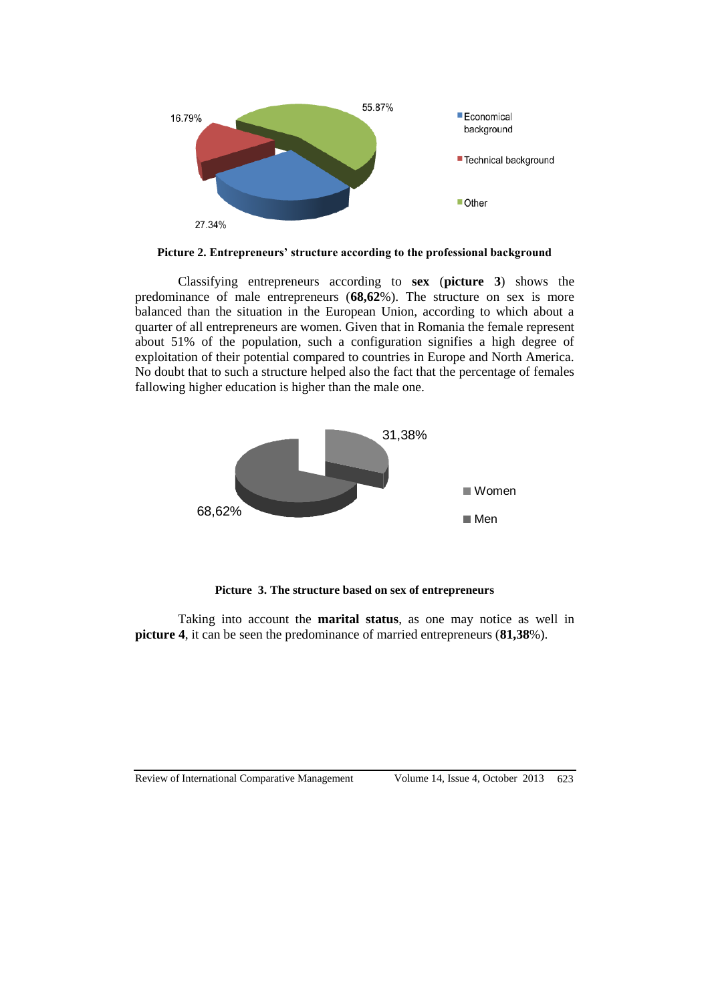

**Picture 2. Entrepreneurs' structure according to the professional background** 

Classifying entrepreneurs according to **sex** (**picture 3**) shows the predominance of male entrepreneurs (**68,62**%). The structure on sex is more balanced than the situation in the European Union, according to which about a quarter of all entrepreneurs are women. Given that in Romania the female represent about 51% of the population, such a configuration signifies a high degree of exploitation of their potential compared to countries in Europe and North America. No doubt that to such a structure helped also the fact that the percentage of females fallowing higher education is higher than the male one.



**Picture 3. The structure based on sex of entrepreneurs**

Taking into account the **marital status**, as one may notice as well in **picture 4**, it can be seen the predominance of married entrepreneurs (**81,38**%).

#### Review of International Comparative Management Volume 14, Issue 4, October 2013 623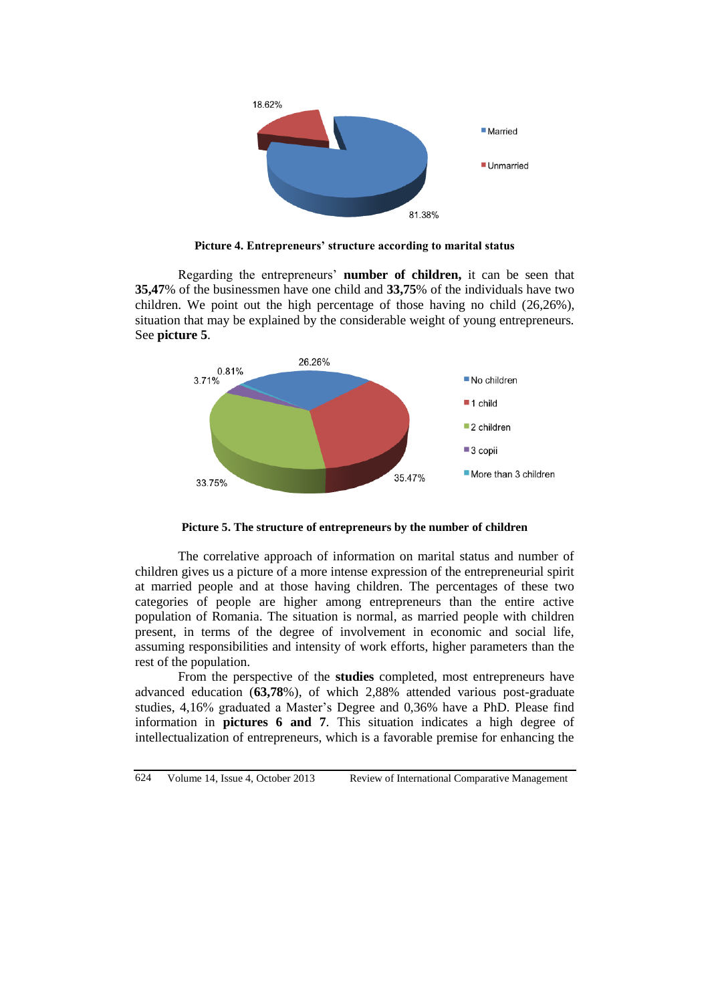

**Picture 4. Entrepreneurs' structure according to marital status** 

Regarding the entrepreneurs' **number of children,** it can be seen that **35,47**% of the businessmen have one child and **33,75**% of the individuals have two children. We point out the high percentage of those having no child (26,26%), situation that may be explained by the considerable weight of young entrepreneurs. See **picture 5**.



**Picture 5. The structure of entrepreneurs by the number of children**

The correlative approach of information on marital status and number of children gives us a picture of a more intense expression of the entrepreneurial spirit at married people and at those having children. The percentages of these two categories of people are higher among entrepreneurs than the entire active population of Romania. The situation is normal, as married people with children present, in terms of the degree of involvement in economic and social life, assuming responsibilities and intensity of work efforts, higher parameters than the rest of the population.

From the perspective of the **studies** completed, most entrepreneurs have advanced education (**63,78**%), of which 2,88% attended various post-graduate studies, 4,16% graduated a Master's Degree and 0,36% have a PhD. Please find information in **pictures 6 and 7**. This situation indicates a high degree of intellectualization of entrepreneurs, which is a favorable premise for enhancing the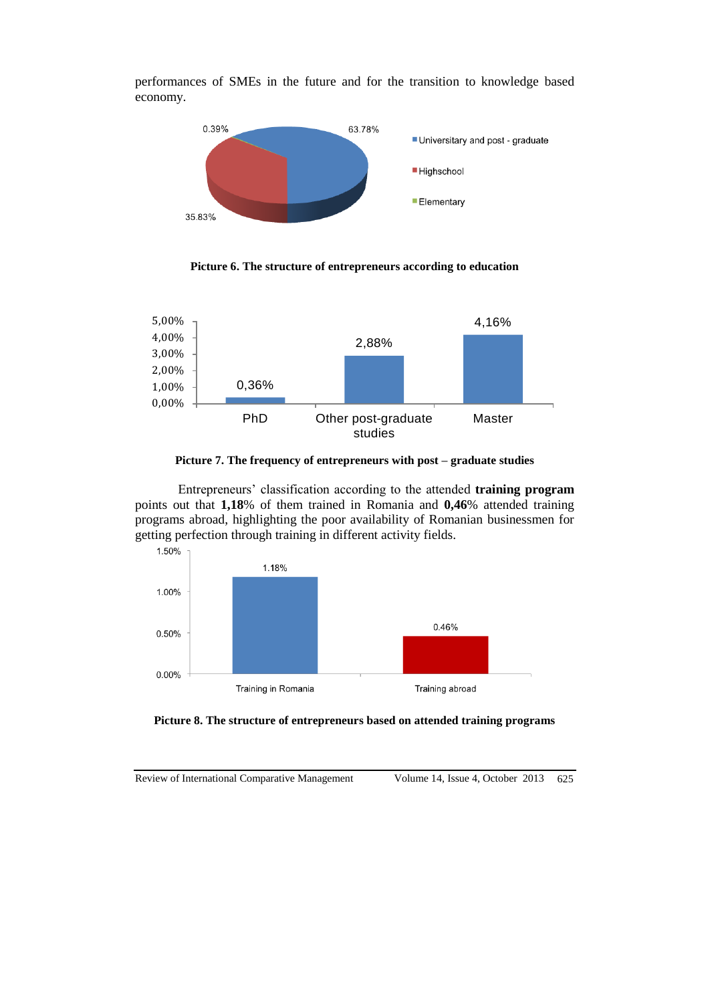

performances of SMEs in the future and for the transition to knowledge based economy.

**Picture 6. The structure of entrepreneurs according to education**



**Picture 7. The frequency of entrepreneurs with post – graduate studies** 

Entrepreneurs' classification according to the attended **training program**  points out that **1,18**% of them trained in Romania and **0,46**% attended training programs abroad, highlighting the poor availability of Romanian businessmen for getting perfection through training in different activity fields.





Review of International Comparative Management Volume 14, Issue 4, October 2013 625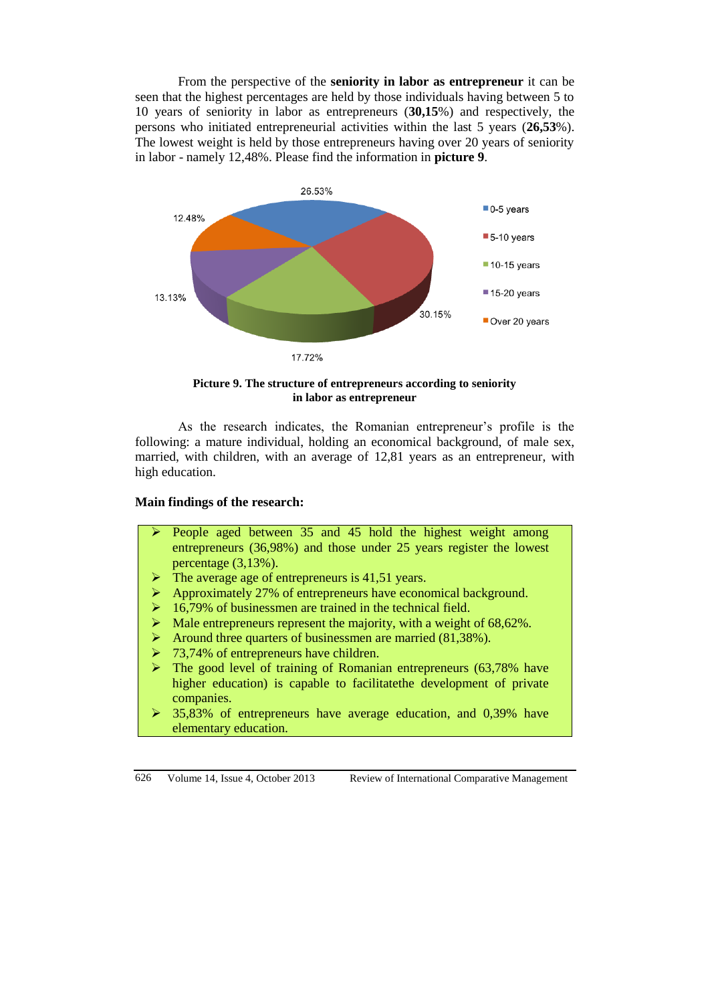From the perspective of the **seniority in labor as entrepreneur** it can be seen that the highest percentages are held by those individuals having between 5 to 10 years of seniority in labor as entrepreneurs (**30,15**%) and respectively, the persons who initiated entrepreneurial activities within the last 5 years (**26,53**%). The lowest weight is held by those entrepreneurs having over 20 years of seniority in labor - namely 12,48%. Please find the information in **picture 9**.



**Picture 9. The structure of entrepreneurs according to seniority in labor as entrepreneur**

As the research indicates, the Romanian entrepreneur's profile is the following: a mature individual, holding an economical background, of male sex, married, with children, with an average of 12,81 years as an entrepreneur, with high education.

# **Main findings of the research:**

- People aged between 35 and 45 hold the highest weight among entrepreneurs (36,98%) and those under 25 years register the lowest percentage (3,13%).
- $\triangleright$  The average age of entrepreneurs is 41,51 years.
- Approximately 27% of entrepreneurs have economical background.
- 16,79% of businessmen are trained in the technical field.
- Male entrepreneurs represent the majority, with a weight of  $68,62\%$ .
- $\triangleright$  Around three quarters of businessmen are married (81,38%).
- $\geq 73,74\%$  of entrepreneurs have children.
- $\triangleright$  The good level of training of Romanian entrepreneurs (63,78% have higher education) is capable to facilitatethe development of private companies.
- $\geq$  35,83% of entrepreneurs have average education, and 0,39% have elementary education.